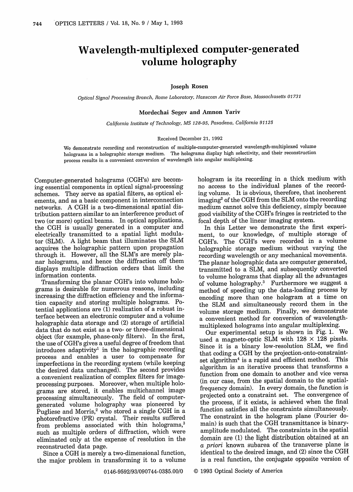# Wavelength-multiplexed computer-generated volume holography

## **Joseph Rosen**

*Optical Signal Processing Branch, Rome Laboratory, Hanscom Air Force Base, Massachusetts 01731*

# **Mordechai Segev and Amnon Yariv**

*California Institute of Technology, MS 128-95, Pasadena, California 91125*

#### Received December 21, 1992

We demonstrate recording and reconstruction of multiple-computer-generated wavelength-multiplexed volume holograms in a holographic storage medium. The holograms display high selectivity, and their reconstruction process results in a convenient conversion of wavelength into angular multiplexing.

Computer-generated holograms (CGH's) are becoming essential components in optical signal-processing schemes. They serve as spatial filters, as optical elements, and as a basic component in interconnection networks. A CGH is a two-dimensional spatial distribution pattern similar to an interference product of two (or more) optical beams. In optical applications, the CGH is usually generated in a computer and electrically transmitted to a spatial light modulator (SLM). A light beam that illuminates the SLM acquires the holographic pattern upon propagation through it. However, all the SLM's are merely planar holograms, and hence the diffraction off them displays multiple diffraction orders that limit the information contents.

Transforming the planar CGH's into volume holograms is desirable for numerous reasons, including increasing the diffraction efficiency and the information capacity and storing multiple holograms. Potential applications are (1) realization of a robust interface between an electronic computer and a volume holographic data storage and (2) storage of artificial data that do not exist as a two- or three-dimensional object (for example, phase-only filters). In the first, the use of CGH's gives a useful degree of freedom that introduces adaptivity<sup>1</sup> in the holographic recording process and enables a user to compensate for imperfections in the recording system (while keeping the desired data unchanged). The second provides a convenient realization of complex filters for imageprocessing purposes. Moreover, when multiple holograms are stored, it enables multichannel image processing simultaneously. The field of computergenerated volume holography was pioneered by Pugliese and Morris, $2$  who stored a single CGH in a photorefractive (PR) crystal. Their results suffered from problems associated with thin holograms,<sup>3</sup> such as multiple orders of diffraction, which were eliminated only at the expense of resolution in the reconstructed data page.

Since a CGH is merely a two-dimensional function, the major problem in transforming it to a volume

hologram is its recording in a thick medium with no access to the individual planes of the recording volume. It is obvious, therefore, that incoherent imaging<sup>2</sup> of the CGH from the SLM onto the recording medium cannot solve this deficiency, simply because good visibility of the CGH's fringes is restricted to the focal depth of the linear imaging system.

In this Letter we demonstrate the first experiment, to our knowledge, of multiple storage of CGH's. The CGH's were recorded in a volume holographic storage medium without varying the recording wavelength or any mechanical movements. The planar holographic data are computer generated, transmitted to a SLM, and subsequently converted to volume holograms that display all the advantages of volume holography.3 Furthermore we suggest a method of speeding up the data-loading process by encoding more than one hologram at a time on the SLM and simultaneously record them in the volume storage medium. Finally, we demonstrate a convenient method for conversion of wavelengthmultiplexed holograms into angular multiplexing.

Our experimental setup is shown in Fig. 1. We used a magneto-optic SLM with  $128 \times 128$  pixels. Since it is a binary low-resolution SLM, we find that coding a CGH by the projection-onto-constraintset algorithm<sup>4</sup> is a rapid and efficient method. This algorithm is an iterative process that transforms a function from one domain to another and vice versa (in our case, from the spatial domain to the spatialfrequency domain). In every domain, the function is projected onto a constraint set. The convergence of the process, if it exists, is achieved when the final function satisfies all the constraints simultaneously. The constraint in the hologram plane (Fourier domain) is such that the CGH transmittance is binaryamplitude modulated. The constraints in the spatial domain are (1) the light distribution obtained at an *a priori* known subarea of the transverse plane is identical to the desired image, and (2) since the CGH is a real function, the conjugate opposite version of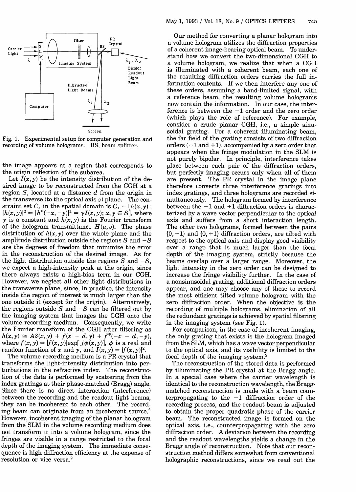



Fig. 1. Experimental setup for computer generation and recording of volume holograms. BS, beam splitter.

the image appears at a region that corresponds to the origin reflection of the subarea.

Let  $I(x, y)$  be the intensity distribution of the desired image to be reconstructed from the CGH at a region  $S$ , located at a distance  $d$  from the origin in the transverse (to the optical axis z) plane. The constraint set  $C_s$  in the spatial domain is  $C_s = [h(x, y)]$ .  $|h(x, y)|^2 = |h^*(-x, -y)|^2 = \gamma I(x, y); x, y \in S$ , where  $\gamma$  is a constant and  $h(x, y)$  is the Fourier transform of the hologram transmittance  $H(u, v)$ . The phase distribution of  $h(x, y)$  over the whole plane and the amplitude distribution outside the regions  $S$  and  $-S$ are the degrees of freedom that minimize the error in the reconstruction of the desired image. As for the light distribution outside the regions S and *-S,* we expect a high-intensity peak at the origin, since there always exists a high-bias term in our CGH. However, we neglect all other light distributions in the transverse plane, since, in practice, the intensity inside the region of interest is much larger than the one outside it (except for the origin). Alternatively, the regions outside  $S$  and  $-S$  can be filtered out by the imaging system that images the CGH onto the volume recording medium. Consequently, we write the Fourier transform of the CGH after filtering as  $h(x, y) \approx A\delta(x, y) + f(x - d, y) + f^*(-x - d, -y),$ where  $f(x, y) = |f(x, y)| \exp[j\phi(x, y)]$ ,  $\phi$  is a real and random function of x and y, and  $I(x, y) = |f(x, y)|^2$ .

The volume recording medium is a PR crystal that transforms the light-intensity distribution into perturbations in the refractive index. The reconstruction of the data is performed by scattering from the index gratings at their phase-matched (Bragg) angle. Since there is no direct interaction (interference) between the recording and the readout light beams, they can be incoherent to each other. The recording beam can originate from an incoherent source.<sup>2</sup> However, incoherent imaging of the planar hologram from the SLM in the volume recording medium does not transform it into a volume hologram, since the fringes are visible in a range restricted to the focal depth of the imaging system. The immediate consequence is high diffraction efficiency at the expense of resolution or vice versa.

Our method for converting a planar hologram into a volume hologram utilizes the diffraction properties of a coherent image-bearing optical beam. To understand how we convert the two-dimensional CGH to a volume hologram, we realize that when a CGH is illuminated with a coherent beam, each one of the resulting diffraction orders carries the full information contents. If we then interfere any one of these orders, assuming a band-limited signal, with a reference beam, the resulting volume holograms now contain the information. In our case, the interference is between the  $-1$  order and the zero order (which plays the role of reference). For example, consider a crude planar CGH, i.e., a simple sinusoidal grating. For a coherent illuminating beam, the far field of the grating consists of two diffraction orders  $(-1$  and  $+1)$ , accompanied by a zero order that appears when the fringe modulation in the SLM is not purely bipolar. In principle, interference takes place between each pair of the diffraction orders, but perfectly imaging occurs only when all of them are present. The PR crystal in the image plane therefore converts three interference gratings into index gratings, and three holograms are recorded simultaneously. The hologram formed by interference between the  $-1$  and  $+1$  diffraction orders is characterized by a wave vector perpendicular to the optical axis and suffers from a short interaction length. The other two holograms, formed between the pairs  $\{0, -1\}$  and  $\{0, +1\}$  diffraction orders, are tilted with respect to the optical axis and display good visibility over a range that is much larger than the focal depth of the imaging system, strictly because the beams overlap over a larger range. Moreover, the light intensity in the zero order can be designed to increase the fringe visibility further. In the case of a nonsinusoidal grating, additional diffraction orders appear, and one may choose any of these to record the most efficient tilted volume hologram with the zero diffraction order. When the objective is the recording of multiple holograms, elimination of all the redundant gratings is achieved by spatial filtering in the imaging system (see Fig. 1).

For comparison, in the case of incoherent imaging, the only grating that exists is the hologram imaged from the SLM, which has a wave vector perpendicular to the optical axis, and its visibility is limited to the focal depth of the imaging system.2

The reconstruction of the stored data is performed by illuminating the PR crystal at the Bragg angle. In a special case where the carrier wavelength is identical to the reconstruction wavelength, the Braggmatched reconstruction is made with a beam counterpropagating to the  $-1$  diffraction order of the recording process, and the readout beam is adjusted to obtain the proper quadratic phase of the carrier beam. The reconstructed image is formed on the optical axis, i.e., counterpropagating with the zero diffraction order. A deviation between the recording and the readout wavelengths yields a change in the Bragg angle of reconstruction. Note that our reconstruction method differs somewhat from conventional holographic reconstructions, since we read out the